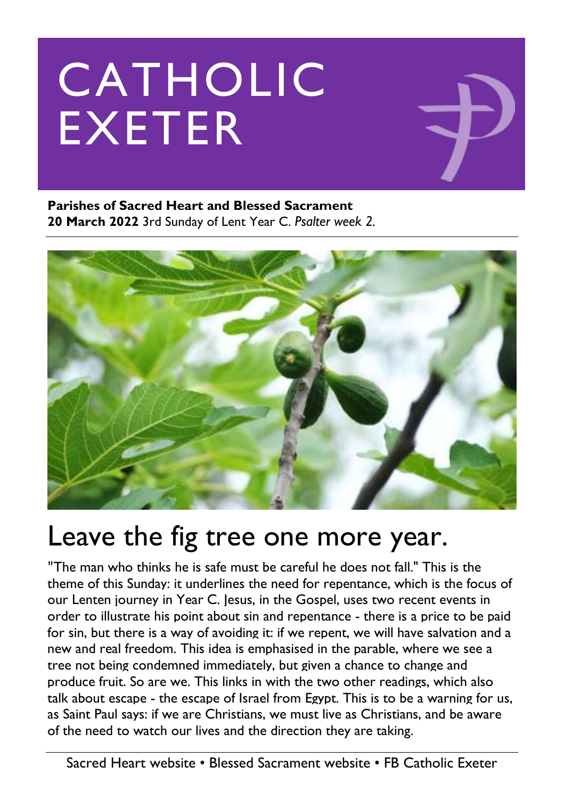# CATHOLIC EXETER

**Parishes of Sacred Heart and Blessed Sacrament 20 March 2022** 3rd Sunday of Lent Year C. *Psalter week 2.*



## Leave the fig tree one more year.

"The man who thinks he is safe must be careful he does not fall." This is the theme of this Sunday: it underlines the need for repentance, which is the focus of our Lenten journey in Year C. Jesus, in the Gospel, uses two recent events in order to illustrate his point about sin and repentance - there is a price to be paid for sin, but there is a way of avoiding it: if we repent, we will have salvation and a new and real freedom. This idea is emphasised in the parable, where we see a tree not being condemned immediately, but given a chance to change and produce fruit. So are we. This links in with the two other readings, which also talk about escape - the escape of Israel from Egypt. This is to be a warning for us, as Saint Paul says: if we are Christians, we must live as Christians, and be aware of the need to watch our lives and the direction they are taking.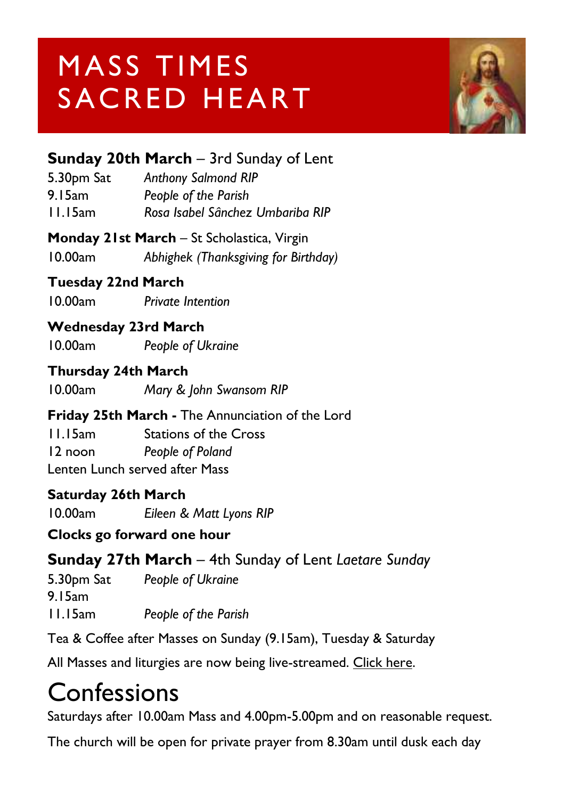## MASS TIMES SACRED HEART



#### **Sunday 20th March** – 3rd Sunday of Lent

| <b>Anthony Salmond RIP</b>       |
|----------------------------------|
| People of the Parish             |
| Rosa Isabel Sânchez Umbariba RIP |
|                                  |

#### **Monday 21st March** – St Scholastica, Virgin

10.00am *Abhighek (Thanksgiving for Birthday)*

#### **Tuesday 22nd March**

10.00am *Private Intention*

#### **Wednesday 23rd March**

10.00am *People of Ukraine*

#### **Thursday 24th March**

10.00am *Mary & John Swansom RIP*

#### **Friday 25th March -** The Annunciation of the Lord

11.15am Stations of the Cross 12 noon *People of Poland* Lenten Lunch served after Mass

#### **Saturday 26th March**

10.00am *Eileen & Matt Lyons RIP*

#### **Clocks go forward one hour**

#### **Sunday 27th March** – 4th Sunday of Lent *Laetare Sunday*

5.30pm Sat *People of Ukraine* 9.15am 11.15am *People of the Parish*

Tea & Coffee after Masses on Sunday (9.15am), Tuesday & Saturday

All Masses and liturgies are now being live-streamed. [Click here.](https://www.youtube.com/channel/UCqZLydKWQ6CqG2utRNBeKmA)

## Confessions

Saturdays after 10.00am Mass and 4.00pm-5.00pm and on reasonable request.

The church will be open for private prayer from 8.30am until dusk each day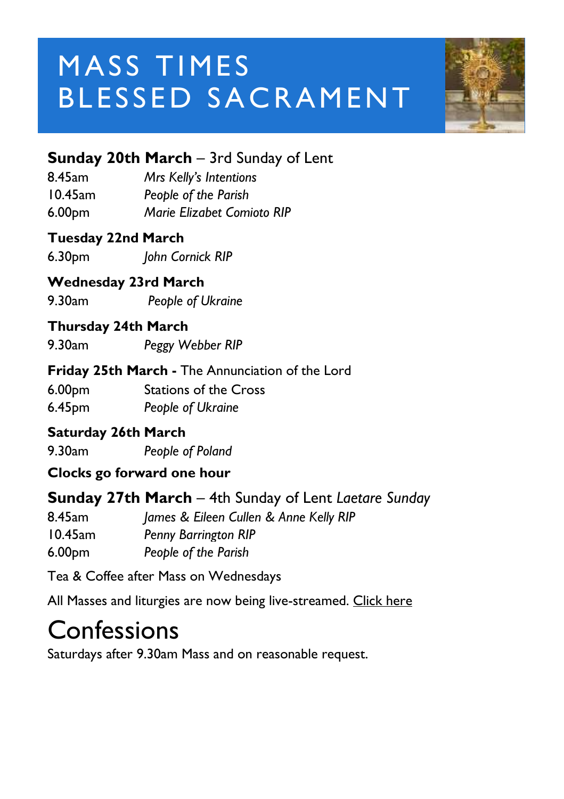## MASS TIMES BLESSED SACRAMENT



#### **Sunday 20th March** – 3rd Sunday of Lent

| 8.45am     | Mrs Kelly's Intentions     |
|------------|----------------------------|
| $10.45$ am | People of the Parish       |
| 6.00pm     | Marie Elizabet Comioto RIP |

#### **Tuesday 22nd March**

6.30pm *John Cornick RIP*

#### **Wednesday 23rd March**

9.30am *People of Ukraine*

#### **Thursday 24th March**

9.30am *Peggy Webber RIP*

#### **Friday 25th March -** The Annunciation of the Lord

6.00pm Stations of the Cross 6.45pm *People of Ukraine*

#### **Saturday 26th March**

9.30am *People of Poland*

#### **Clocks go forward one hour**

#### **Sunday 27th March** – 4th Sunday of Lent *Laetare Sunday*

8.45am *James & Eileen Cullen & Anne Kelly RIP* 10.45am *Penny Barrington RIP*

6.00pm *People of the Parish* 

Tea & Coffee after Mass on Wednesdays

All Masses and liturgies are now being live-streamed. [Click here](https://www.youtube.com/c/BlessedSacramentExeter)

## Confessions

Saturdays after 9.30am Mass and on reasonable request.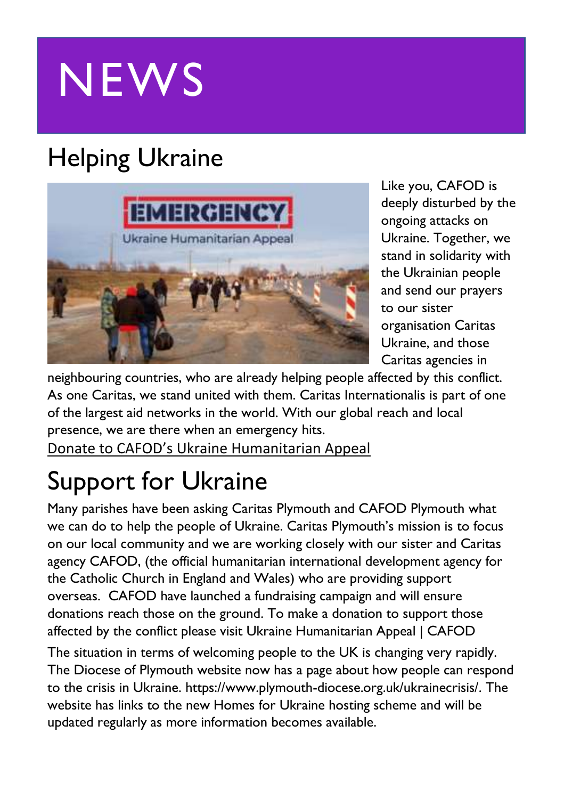# **NEWS**

## Helping Ukraine



Like you, CAFOD is deeply disturbed by the ongoing attacks on Ukraine. Together, we stand in solidarity with the Ukrainian people and send our prayers to our sister organisation Caritas Ukraine, and those Caritas agencies in

neighbouring countries, who are already helping people affected by this conflict. As one Caritas, we stand united with them. Caritas Internationalis is part of one of the largest aid networks in the world. With our global reach and local presence, we are there when an emergency hits.

[Donate to CAFOD's Ukraine Humanitarian Appeal](https://cafod.org.uk/donations/picker?defaultuniversaltype=single&_Appeal=123770)

## Support for Ukraine

Many parishes have been asking Caritas Plymouth and CAFOD Plymouth what we can do to help the people of Ukraine. Caritas Plymouth's mission is to focus on our local community and we are working closely with our sister and Caritas agency CAFOD, (the official humanitarian international development agency for the Catholic Church in England and Wales) who are providing support overseas. CAFOD have launched a fundraising campaign and will ensure donations reach those on the ground. To make a donation to support those affected by the conflict please visit [Ukraine Humanitarian Appeal | CAFOD](https://cafod.org.uk/Give/Donate-to-Emergencies/Ukraine-Humanitarian-Appeal)

The situation in terms of welcoming people to the UK is changing very rapidly. The Diocese of Plymouth website now has a page about how people can respond to the crisis in Ukraine. [https://www.plymouth-diocese.org.uk/ukrainecrisis/.](https://www.plymouth-diocese.org.uk/ukrainecrisis/) The website has links to the new Homes for Ukraine hosting scheme and will be updated regularly as more information becomes available.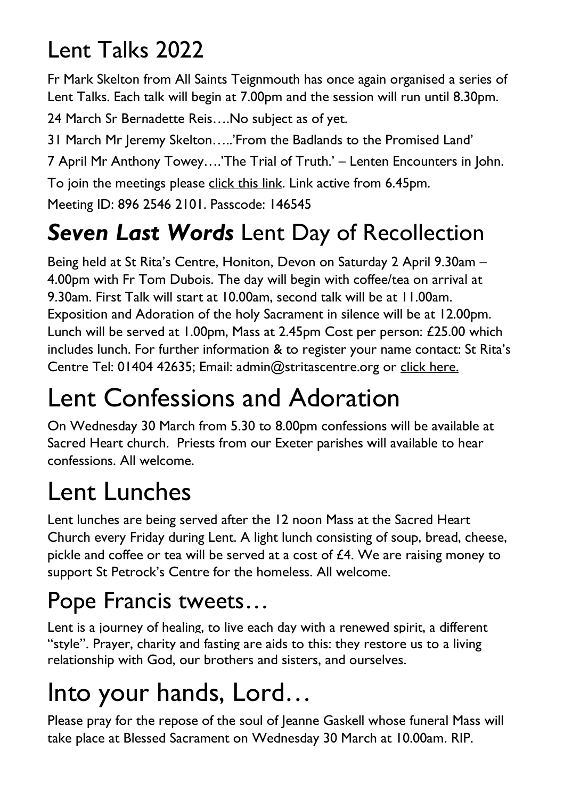## Lent Talks 2022

Fr Mark Skelton from All Saints Teignmouth has once again organised a series of Lent Talks. Each talk will begin at 7.00pm and the session will run until 8.30pm.

24 March Sr Bernadette Reis….No subject as of yet.

31 March Mr Jeremy Skelton…..'From the Badlands to the Promised Land'

7 April Mr Anthony Towey….'The Trial of Truth.' – Lenten Encounters in John.

To join the meetings please [click this link.](https://us02web.zoom.us/j/89625462101?pwd=OXpMSUU1TzQ4Z0tJTyt6WFpLaFdTZz09) Link active from 6.45pm.

Meeting ID: 896 2546 2101. Passcode: 146545

## *Seven Last Words* Lent Day of Recollection

Being held at St Rita's Centre, Honiton, Devon on Saturday 2 April 9.30am – 4.00pm with Fr Tom Dubois. The day will begin with coffee/tea on arrival at 9.30am. First Talk will start at 10.00am, second talk will be at 11.00am. Exposition and Adoration of the holy Sacrament in silence will be at 12.00pm. Lunch will be served at 1.00pm, Mass at 2.45pm Cost per person: £25.00 which includes lunch. For further information & to register your name contact: St Rita's Centre Tel: 01404 42635; Email: admin@stritascentre.org or [click here.](https://www.stritascentre.org/events/lent-retreat-day-seven-last-words)

## Lent Confessions and Adoration

On Wednesday 30 March from 5.30 to 8.00pm confessions will be available at Sacred Heart church. Priests from our Exeter parishes will available to hear confessions. All welcome.

## Lent Lunches

Lent lunches are being served after the 12 noon Mass at the Sacred Heart Church every Friday during Lent. A light lunch consisting of soup, bread, cheese, pickle and coffee or tea will be served at a cost of  $£4$ . We are raising money to support St Petrock's Centre for the homeless. All welcome.

## Pope Francis tweets…

[Lent](https://twitter.com/hashtag/Lent?src=hashtag_click) is a journey of healing, to live each day with a renewed spirit, a different "style". Prayer, charity and fasting are aids to this: they restore us to a living relationship with God, our brothers and sisters, and ourselves.

## Into your hands, Lord…

Please pray for the repose of the soul of Jeanne Gaskell whose funeral Mass will take place at Blessed Sacrament on Wednesday 30 March at 10.00am. RIP.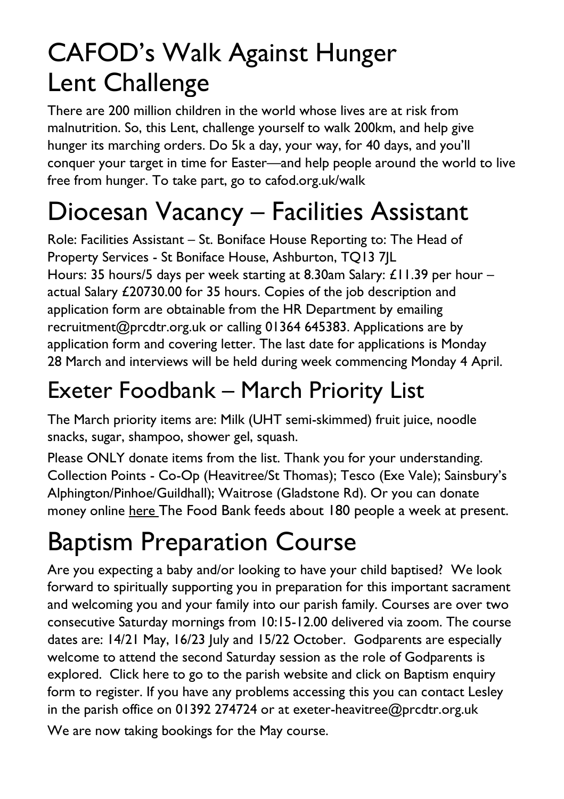## CAFOD's Walk Against Hunger Lent Challenge

There are 200 million children in the world whose lives are at risk from malnutrition. So, this Lent, challenge yourself to walk 200km, and help give hunger its marching orders. Do 5k a day, your way, for 40 days, and you'll conquer your target in time for Easter—and help people around the world to live free from hunger. To take part, go to cafod.org.uk/walk

## Diocesan Vacancy – Facilities Assistant

Role: Facilities Assistant – St. Boniface House Reporting to: The Head of Property Services - St Boniface House, Ashburton, TQ13 7JL Hours: 35 hours/5 days per week starting at 8.30am Salary: £11.39 per hour – actual Salary £20730.00 for 35 hours. Copies of the job description and application form are obtainable from the HR Department by emailing recruitment@prcdtr.org.uk or calling 01364 645383. Applications are by application form and covering letter. The last date for applications is Monday 28 March and interviews will be held during week commencing Monday 4 April.

## Exeter Foodbank – March Priority List

The March priority items are: Milk (UHT semi-skimmed) fruit juice, noodle snacks, sugar, shampoo, shower gel, squash.

Please ONLY donate items from the list. Thank you for your understanding. Collection Points - Co-Op (Heavitree/St Thomas); Tesco (Exe Vale); Sainsbury's Alphington/Pinhoe/Guildhall); Waitrose (Gladstone Rd). Or you can donate money online [here](https://uk.virginmoneygiving.com/charity-web/charity/finalCharityHomepage.action?charityId=1016975&_ga=2.106832579.1384579075.1617955505-1667813714.1617955505) The Food Bank feeds about 180 people a week at present.

## Baptism Preparation Course

Are you expecting a baby and/or looking to have your child baptised? We look forward to spiritually supporting you in preparation for this important sacrament and welcoming you and your family into our parish family. Courses are over two consecutive Saturday mornings from 10:15-12.00 delivered via zoom. The course dates are: 14/21 May, 16/23 July and 15/22 October. Godparents are especially welcome to attend the second Saturday session as the role of Godparents is explored. Click [here](https://www.blessedsacrament.org.uk/parish-life/sacramental-life/) to go to the parish website and click on Baptism enquiry form to register. If you have any problems accessing this you can contact Lesley in the parish office on 01392 274724 or at [exeter-heavitree@prcdtr.org.uk](mailto:Exeter-heavitree@prcdtr.org.uk) We are now taking bookings for the May course.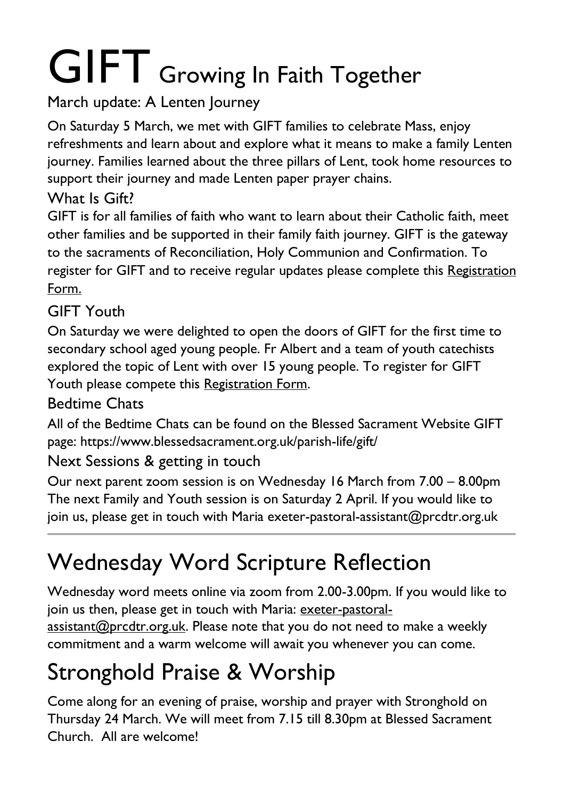# GIFT Growing In Faith Together

#### March update: A Lenten Journey

On Saturday 5 March, we met with GIFT families to celebrate Mass, enjoy refreshments and learn about and explore what it means to make a family Lenten journey. Families learned about the three pillars of Lent, took home resources to support their journey and made Lenten paper prayer chains.

#### What Is Gift?

GIFT is for all families of faith who want to learn about their Catholic faith, meet other families and be supported in their family faith journey. GIFT is the gateway to the sacraments of Reconciliation, Holy Communion and Confirmation. To register for GIFT and to receive regular updates please complete this [Registration](https://docs.google.com/forms/d/1Qs8jP69t9hS5V3ukZvm34yn8pDZdS0iDYrhXY_j8pMQ/edit) [Form.](https://docs.google.com/forms/d/1Qs8jP69t9hS5V3ukZvm34yn8pDZdS0iDYrhXY_j8pMQ/edit)

#### GIFT Youth

On Saturday we were delighted to open the doors of GIFT for the first time to secondary school aged young people. Fr Albert and a team of youth catechists explored the topic of Lent with over 15 young people. To register for GIFT Youth please compete this [Registration Form.](https://docs.google.com/forms/d/1js2AU2QewgH1ui7kjv2-mKDJcyulRGa34G-Eo3ao8FI/edit)

#### Bedtime Chats

All of the Bedtime Chats can be found on the Blessed Sacrament Website GIFT page: https://www.blessedsacrament.org.uk/parish-life/gift/

#### Next Sessions & getting in touch

Our next parent zoom session is on Wednesday 16 March from 7.00 – 8.00pm The next Family and Youth session is on Saturday 2 April. If you would like to join us, please get in touch with Maria exeter-pastoral-assistant@prcdtr.org.uk

## Wednesday Word Scripture Reflection

Wednesday word meets online via zoom from 2.00-3.00pm. If you would like to join us then, please get in touch with Maria: [exeter-pastoral](mailto:exeter-pastoral-assistant@prcdtr.org.uk)[assistant@prcdtr.org.uk.](mailto:exeter-pastoral-assistant@prcdtr.org.uk) Please note that you do not need to make a weekly commitment and a warm welcome will await you whenever you can come.

## Stronghold Praise & Worship

Come along for an evening of praise, worship and prayer with Stronghold on Thursday 24 March. We will meet from 7.15 till 8.30pm at Blessed Sacrament Church. All are welcome!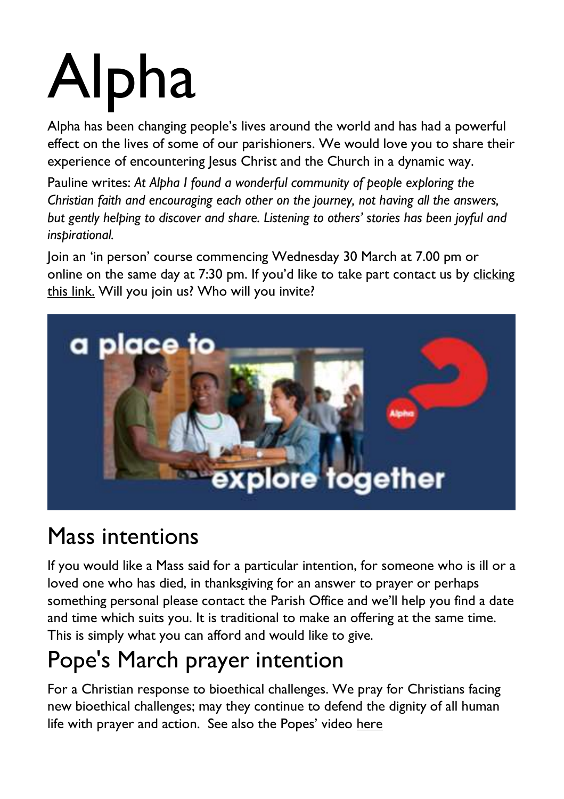# Alpha

Alpha has been changing people's lives around the world and has had a powerful effect on the lives of some of our parishioners. We would love you to share their experience of encountering Jesus Christ and the Church in a dynamic way.

Pauline writes: *At Alpha I found a wonderful community of people exploring the Christian faith and encouraging each other on the journey, not having all the answers, but gently helping to discover and share. Listening to others' stories has been joyful and inspirational.*

Join an 'in person' course commencing Wednesday 30 March at 7.00 pm or online on the same day at 7:30 pm. If you'd like to take part contact us by [clicking](https://forms.gle/ox9872e6nAXT3Fec6)  [this link.](https://forms.gle/ox9872e6nAXT3Fec6) Will you join us? Who will you invite?



## Mass intentions

If you would like a Mass said for a particular intention, for someone who is ill or a loved one who has died, in thanksgiving for an answer to prayer or perhaps something personal please contact the Parish Office and we'll help you find a date and time which suits you. It is traditional to make an offering at the same time. This is simply what you can afford and would like to give.

## Pope's March prayer intention

For a Christian response to bioethical challenges. We pray for Christians facing new bioethical challenges; may they continue to defend the dignity of all human life with prayer and action. See also the Popes' video here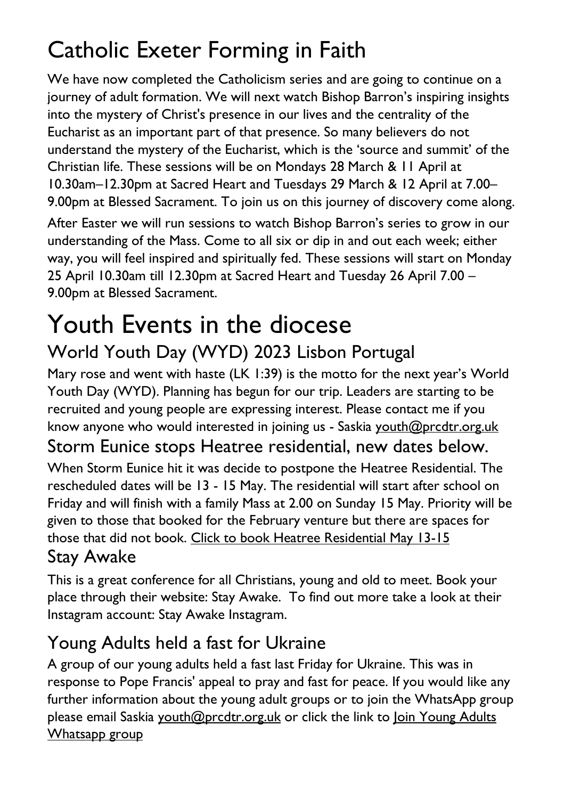## Catholic Exeter Forming in Faith

We have now completed the Catholicism series and are going to continue on a journey of adult formation. We will next watch Bishop Barron's inspiring insights into the mystery of Christ's presence in our lives and the centrality of the Eucharist as an important part of that presence. So many believers do not understand the mystery of the Eucharist, which is the 'source and summit' of the Christian life. These sessions will be on Mondays 28 March & 11 April at 10.30am–12.30pm at Sacred Heart and Tuesdays 29 March & 12 April at 7.00– 9.00pm at Blessed Sacrament. To join us on this journey of discovery come along.

After Easter we will run sessions to watch Bishop Barron's series to grow in our understanding of the Mass. Come to all six or dip in and out each week; either way, you will feel inspired and spiritually fed. These sessions will start on Monday 25 April 10.30am till 12.30pm at Sacred Heart and Tuesday 26 April 7.00 – 9.00pm at Blessed Sacrament.

#### Youth Events in the diocese World Youth Day (WYD) 2023 Lisbon Portugal

Mary rose and went with haste (LK 1:39) is the motto for the next year's World Youth Day (WYD). Planning has begun for our trip. Leaders are starting to be recruited and young people are expressing interest. Please contact me if you know anyone who would interested in joining us - Saskia [youth@prcdtr.org.uk](mailto:youth@prcdtr.org.uk)

#### Storm Eunice stops Heatree residential, new dates below.

When Storm Eunice hit it was decide to postpone the Heatree Residential. The rescheduled dates will be 13 - 15 May. The residential will start after school on Friday and will finish with a family Mass at 2.00 on Sunday 15 May. Priority will be given to those that booked for the February venture but there are spaces for those that did not book. [Click to book Heatree Residential May 13-15](https://linkprotect.cudasvc.com/url?a=https%3a%2f%2femail.workwithgusto.co.uk%2ft%2ft-l-qobz-jliihdujhk-t%2f&c=E,1,uTd0l8Q_M52Y_ElGkKKS0VyY-UpsQ5VmxTBtyAkC4U6lvj9hJdTURkr9WlUnW52p2yAR3fLdGROZ96NnLzDqYorCr5NK_xcxze5Ssc74_zhVnQ,,&typo=1) Stay Awake

#### This is a great conference for all Christians, young and old to meet. Book your place through their website: Stay Awake. To find out more take a look at their Instagram account: Stay Awake Instagram.

#### Young Adults held a fast for Ukraine

A group of our young adults held a fast last Friday for Ukraine. This was in response to Pope Francis' appeal to pray and fast for peace. If you would like any further information about the young adult groups or to join the WhatsApp group please email Saskia [youth@prcdtr.org.uk](mailto:youth@prcdtr.org.uk) or click the link to Join Young [Adults](https://linkprotect.cudasvc.com/url?a=https%3a%2f%2femail.workwithgusto.co.uk%2ft%2ft-l-qctujk-jlhtkkath-f%2f&c=E,1,H7xDkNsQx66fToQ4T0WKA31En_WajWfL-AQSzsmzOtsV6lcB4LUdlLNO-qjXnvs89JTbHFnw2EAZczGoHYpuOw1mU1OJFx_MbuCMNDXjTcuHiVTvSPDN&typo=1) [Whatsapp](https://linkprotect.cudasvc.com/url?a=https%3a%2f%2femail.workwithgusto.co.uk%2ft%2ft-l-qctujk-jlhtkkath-f%2f&c=E,1,H7xDkNsQx66fToQ4T0WKA31En_WajWfL-AQSzsmzOtsV6lcB4LUdlLNO-qjXnvs89JTbHFnw2EAZczGoHYpuOw1mU1OJFx_MbuCMNDXjTcuHiVTvSPDN&typo=1) group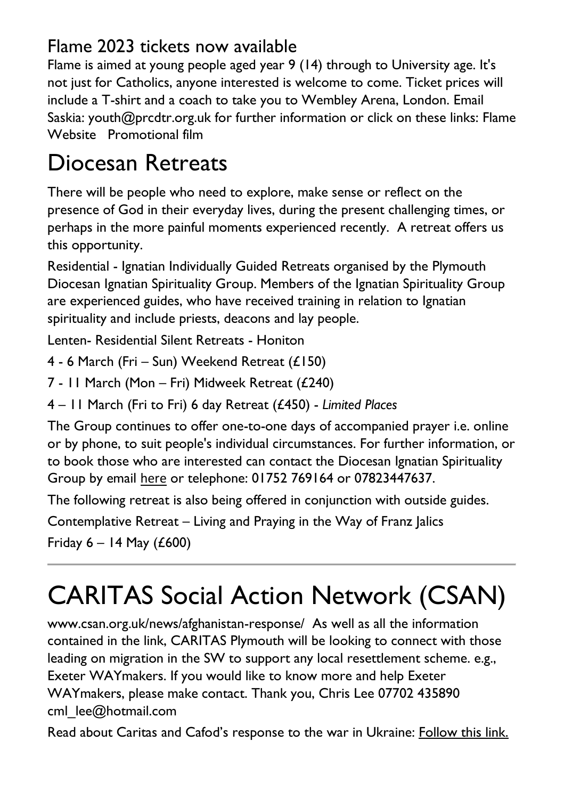#### Flame 2023 tickets now available

Flame is aimed at young people aged year 9 (14) through to University age. It's not just for Catholics, anyone interested is welcome to come. Ticket prices will include a T-shirt and a coach to take you to Wembley Arena, London. Email Saskia: [youth@prcdtr.org.uk](mailto:youth@prcdtr.org.uk) for further information or click on these links: [Flame](https://linkprotect.cudasvc.com/url?a=https%3a%2f%2femail.workwithgusto.co.uk%2ft%2ft-l-qctujk-jlhtkkath-r%2f&c=E,1,Blk2ycDETYSiwjdC8Eum_yXBXPyalX-b89WAcrqe2YMLelINKYiJZh6-LBH8JPoujeqNupfBVu_8vYI4vpIXwhWWATVyeEad53kAGgn5xuT7TYzo2Q,,&typo=1)  [Website](https://linkprotect.cudasvc.com/url?a=https%3a%2f%2femail.workwithgusto.co.uk%2ft%2ft-l-qctujk-jlhtkkath-r%2f&c=E,1,Blk2ycDETYSiwjdC8Eum_yXBXPyalX-b89WAcrqe2YMLelINKYiJZh6-LBH8JPoujeqNupfBVu_8vYI4vpIXwhWWATVyeEad53kAGgn5xuT7TYzo2Q,,&typo=1) [Promotional film](https://linkprotect.cudasvc.com/url?a=https%3a%2f%2femail.workwithgusto.co.uk%2ft%2ft-l-qctujk-jlhtkkath-y%2f&c=E,1,rIvCM-_EoOgTFmoiIkP33YW-SOr8YUpMgm9NEH62Sf6r8PBeBsWMEJhbgWpvbWucEgfJGlNF6hB_p1XuDAwT-WGz6WIdU1aCJs7rjEZ5CHEWhAI,&typo=1)

## Diocesan Retreats

There will be people who need to explore, make sense or reflect on the presence of God in their everyday lives, during the present challenging times, or perhaps in the more painful moments experienced recently. A retreat offers us this opportunity.

Residential - Ignatian Individually Guided Retreats organised by the Plymouth Diocesan Ignatian Spirituality Group. Members of the Ignatian Spirituality Group are experienced guides, who have received training in relation to Ignatian spirituality and include priests, deacons and lay people.

Lenten- Residential Silent Retreats - Honiton

4 - 6 March (Fri – Sun) Weekend Retreat (£150)

7 - 11 March (Mon – Fri) Midweek Retreat (£240)

4 – 11 March (Fri to Fri) 6 day Retreat (£450) - *Limited Places*

The Group continues to offer one-to-one days of accompanied prayer i.e. online or by phone, to suit people's individual circumstances. For further information, or to book those who are interested can contact the Diocesan Ignatian Spirituality Group by email [here](mailto:diocesan-ignatian-retreats@prcdtr.org.uk) or telephone: 01752 769164 or 07823447637.

The following retreat is also being offered in conjunction with outside guides.

Contemplative Retreat – Living and Praying in the Way of Franz Jalics

Friday  $6 - 14$  May (£600)

## CARITAS Social Action Network (CSAN)

[www.csan.org.uk/news/afghanistan-response/](https://www.csan.org.uk/news/afghanistan-response/) As well as all the information contained in the link, CARITAS Plymouth will be looking to connect with those leading on migration in the SW to support any local resettlement scheme. e.g., Exeter WAYmakers. If you would like to know more and help Exeter WAYmakers, please make contact. Thank you, Chris Lee 07702 435890 cml\_lee@hotmail.com

Read about Caritas and Cafod's response to the war in Ukraine: [Follow this link.](https://www.cbcew.org.uk/wp-content/uploads/sites/3/2022/03/Jt-CSAN-CAFOD-stmt-Ukraine.pdf)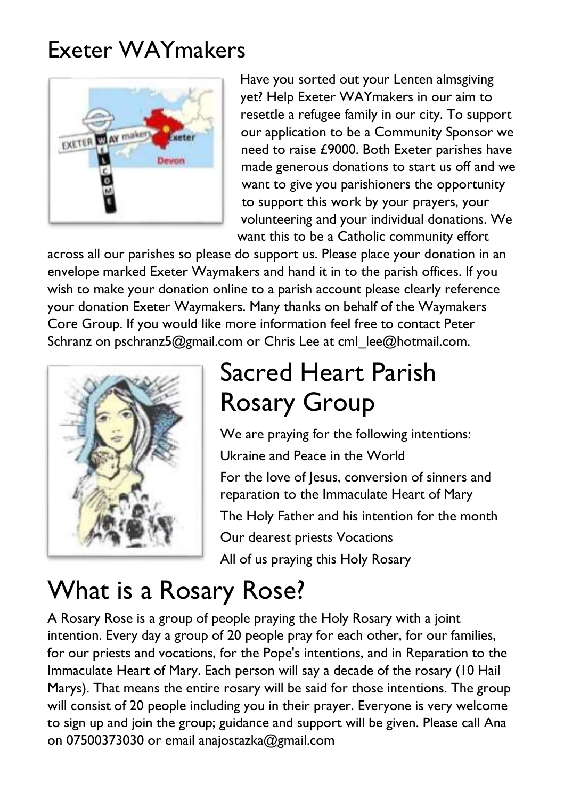### Exeter WAYmakers



Have you sorted out your Lenten almsgiving yet? Help Exeter WAYmakers in our aim to resettle a refugee family in our city. To support our application to be a Community Sponsor we need to raise £9000. Both Exeter parishes have made generous donations to start us off and we want to give you parishioners the opportunity to support this work by your prayers, your volunteering and your individual donations. We want this to be a Catholic community effort

across all our parishes so please do support us. Please place your donation in an envelope marked Exeter Waymakers and hand it in to the parish offices. If you wish to make your donation online to a parish account please clearly reference your donation Exeter Waymakers. Many thanks on behalf of the Waymakers Core Group. If you would like more information feel free to contact Peter Schranz on pschranz5@gmail.com or Chris Lee at cml lee@hotmail.com.



## Sacred Heart Parish Rosary Group

We are praying for the following intentions: Ukraine and Peace in the World

For the love of Jesus, conversion of sinners and reparation to the Immaculate Heart of Mary The Holy Father and his intention for the month Our dearest priests Vocations

All of us praying this Holy Rosary

## What is a Rosary Rose?

A Rosary Rose is a group of people praying the Holy Rosary with a joint intention. Every day a group of 20 people pray for each other, for our families, for our priests and vocations, for the Pope's intentions, and in Reparation to the Immaculate Heart of Mary. Each person will say a decade of the rosary (10 Hail Marys). That means the entire rosary will be said for those intentions. The group will consist of 20 people including you in their prayer. Everyone is very welcome to sign up and join the group; guidance and support will be given. Please call Ana on 07500373030 or email anajostazka@gmail.com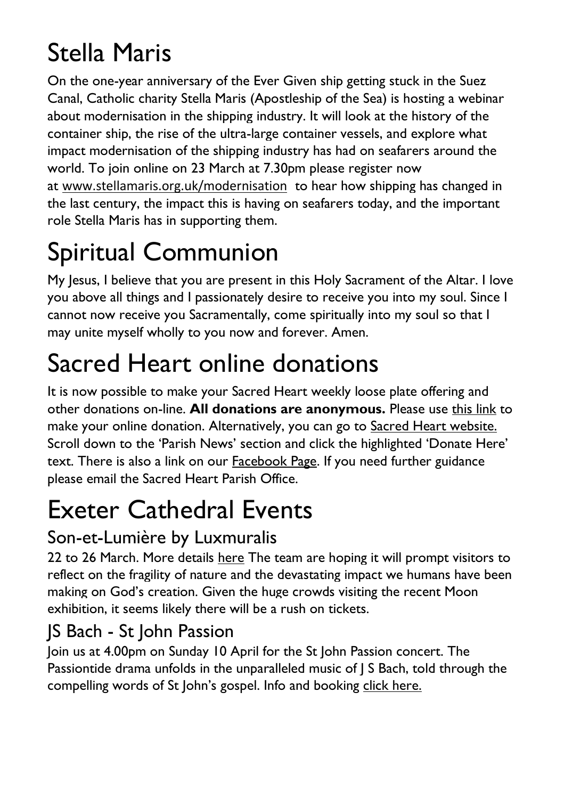## Stella Maris

On the one-year anniversary of the Ever Given ship getting stuck in the Suez Canal, Catholic charity Stella Maris (Apostleship of the Sea) is hosting a webinar about modernisation in the shipping industry. It will look at the history of the container ship, the rise of the ultra-large container vessels, and explore what impact modernisation of the shipping industry has had on seafarers around the world. To join online on 23 March at 7.30pm please register now at [www.stellamaris.org.uk/modernisation](https://linkprotect.cudasvc.com/url?a=http%3a%2f%2fwww.stellamaris.org.uk%2fmodernisation&c=E,1,GA6VX1ARh2fGfvP_7BmSBNkPARSsMJCGjTII56o6DHSgfvpPvzwwPdrHOgatAg7IxmXojFb22Z_LwqWQjD5pCkrVzQvesz8res0oF8tFrpcOJJE6XQ,,&typo=1) to hear how shipping has changed in the last century, the impact this is having on seafarers today, and the important role Stella Maris has in supporting them.

## Spiritual Communion

My Jesus, I believe that you are present in this Holy Sacrament of the Altar. I love you above all things and I passionately desire to receive you into my soul. Since I cannot now receive you Sacramentally, come spiritually into my soul so that I may unite myself wholly to you now and forever. Amen.

## Sacred Heart online donations

It is now possible to make your Sacred Heart weekly loose plate offering and other donations on-line. **All donations are anonymous.** Please use [this link](https://givealittle.co/campaigns/f94e8739-d2fd-4ce6-9fca60470ef39403) to make your online donation. Alternatively, you can go to [Sacred Heart website.](https://www.sacredheartexeter.org/) Scroll down to the 'Parish News' section and click the highlighted 'Donate Here' text. There is also a link on our [Facebook Page.](https://www.facebook.com/Sacred-HeartCatholic-Church-Exeter-422138011310698) If you need further guidance please email the Sacred Heart Parish Office.

## Exeter Cathedral Events

#### Son-et-Lumière by Luxmuralis

22 to 26 March. More details [here](https://linkprotect.cudasvc.com/url?a=https%3a%2f%2fwww.exeter-cathedral.org.uk%2fwhats-on%2fevents%2flife-light-and-sound-experience%2f&c=E,1,y-_iHauzEkUJ_eCgcplcW6PkUStgtewWT0YnZGIMt0irSWZ0Vu5KvEt3OsBd4YixwaLxofqK8B99SHRkNlKi7QJTJI9pvQm626agsN7-shI,&typo=1) The team are hoping it will prompt visitors to reflect on the fragility of nature and the devastating impact we humans have been making on God's creation. Given the huge crowds visiting the recent Moon exhibition, it seems likely there will be a rush on tickets.

#### JS Bach - St John Passion

Join us at 4.00pm on Sunday 10 April for the St John Passion concert. The Passiontide drama unfolds in the unparalleled music of J S Bach, told through the compelling words of St John's gospel. Info and booking [click here.](https://www.exeter-cathedral.org.uk/whats-on/events/j-s-bach-st-john-passion-20220410-160000/)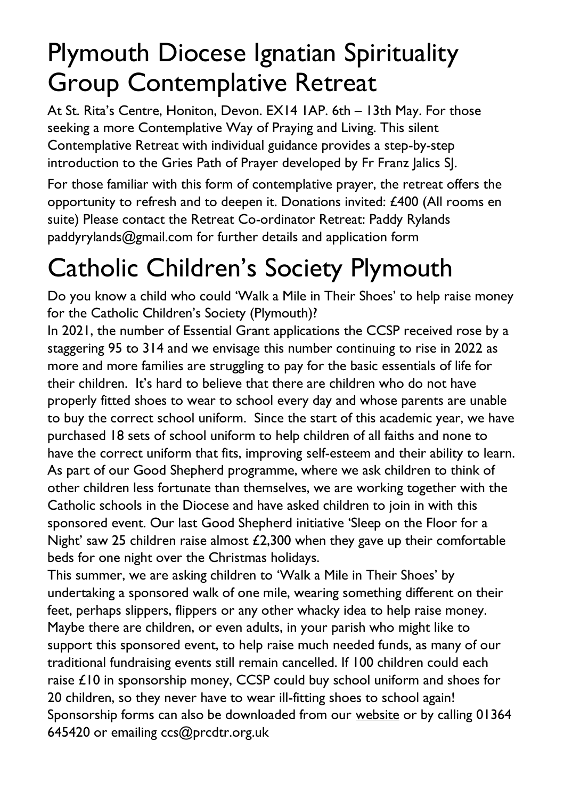## Plymouth Diocese Ignatian Spirituality Group Contemplative Retreat

At St. Rita's Centre, Honiton, Devon. EX14 1AP. 6th – 13th May. For those seeking a more Contemplative Way of Praying and Living. This silent Contemplative Retreat with individual guidance provides a step-by-step introduction to the Gries Path of Prayer developed by Fr Franz Jalics SJ.

For those familiar with this form of contemplative prayer, the retreat offers the opportunity to refresh and to deepen it. Donations invited: £400 (All rooms en suite) Please contact the Retreat Co-ordinator Retreat: Paddy Rylands paddyrylands@gmail.com for further details and application form

## Catholic Children's Society Plymouth

Do you know a child who could 'Walk a Mile in Their Shoes' to help raise money for the Catholic Children's Society (Plymouth)?

In 2021, the number of Essential Grant applications the CCSP received rose by a staggering 95 to 314 and we envisage this number continuing to rise in 2022 as more and more families are struggling to pay for the basic essentials of life for their children. It's hard to believe that there are children who do not have properly fitted shoes to wear to school every day and whose parents are unable to buy the correct school uniform. Since the start of this academic year, we have purchased 18 sets of school uniform to help children of all faiths and none to have the correct uniform that fits, improving self-esteem and their ability to learn. As part of our Good Shepherd programme, where we ask children to think of other children less fortunate than themselves, we are working together with the Catholic schools in the Diocese and have asked children to join in with this sponsored event. Our last Good Shepherd initiative 'Sleep on the Floor for a Night' saw 25 children raise almost £2,300 when they gave up their comfortable beds for one night over the Christmas holidays.

This summer, we are asking children to 'Walk a Mile in Their Shoes' by undertaking a sponsored walk of one mile, wearing something different on their feet, perhaps slippers, flippers or any other whacky idea to help raise money. Maybe there are children, or even adults, in your parish who might like to support this sponsored event, to help raise much needed funds, as many of our traditional fundraising events still remain cancelled. If 100 children could each raise £10 in sponsorship money, CCSP could buy school uniform and shoes for 20 children, so they never have to wear ill-fitting shoes to school again! Sponsorship forms can also be downloaded from our [website](http://www.ccsplymouth.org.uk/) or by calling 01364 645420 or emailing [ccs@prcdtr.org.uk](mailto:ccs@prcdtr.org.uk)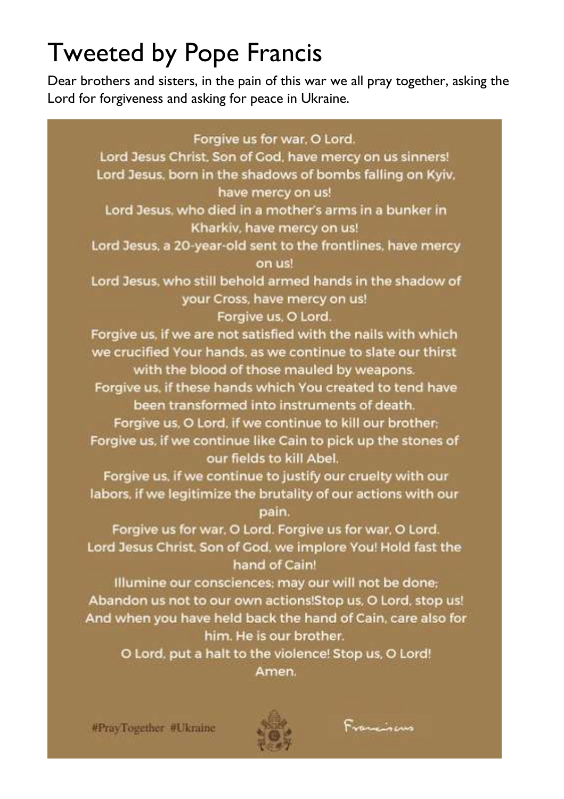## Tweeted by Pope Francis

Dear brothers and sisters, in the pain of this war we all pray together, asking the Lord for forgiveness and asking for peace in Ukraine.

Forgive us for war, O Lord. Lord Jesus Christ, Son of God, have mercy on us sinners! Lord Jesus, born in the shadows of bombs falling on Kyiv, have mercy on us! Lord Jesus, who died in a mother's arms in a bunker in Kharkiv, have mercy on us! Lord Jesus, a 20-year-old sent to the frontlines, have mercy on us! Lord Jesus, who still behold armed hands in the shadow of your Cross, have mercy on us! Forgive us. O Lord. Forgive us, if we are not satisfied with the nails with which we crucified Your hands, as we continue to slate our thirst with the blood of those mauled by weapons. Forgive us, if these hands which You created to tend have been transformed into instruments of death. Forgive us, O Lord, if we continue to kill our brother: Forgive us, if we continue like Cain to pick up the stones of our fields to kill Abel. Forgive us, if we continue to justify our cruelty with our labors, if we legitimize the brutality of our actions with our pain. Forgive us for war, O Lord. Forgive us for war, O Lord. Lord Jesus Christ, Son of God, we implore You! Hold fast the hand of Cain! Illumine our consciences; may our will not be done; Abandon us not to our own actions!Stop us, O Lord, stop us! And when you have held back the hand of Cain, care also for him. He is our brother. O Lord, put a halt to the violence! Stop us, O Lord! Amen.

#PrayTogether #Ukraine



Franciscus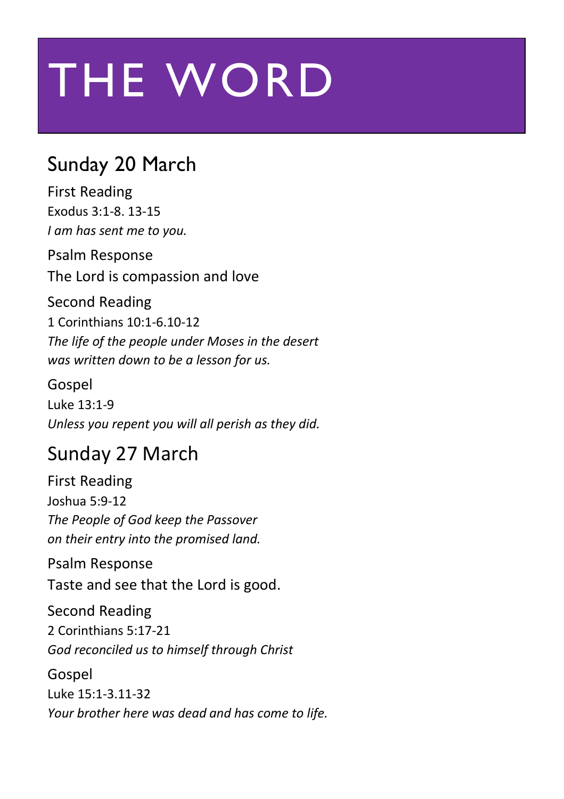# THE WORD

#### Sunday 20 March

First Reading Exodus 3:1-8. 13-15 *I am has sent me to you.*

Psalm Response The Lord is compassion and love

#### Second Reading

1 Corinthians 10:1-6.10-12 *The life of the people under Moses in the desert was written down to be a lesson for us.*

Gospel

Luke 13:1-9 *Unless you repent you will all perish as they did.*

#### Sunday 27 March

First Reading Joshua 5:9-12 *The People of God keep the Passover on their entry into the promised land.*

Psalm Response Taste and see that the Lord is good.

Second Reading 2 Corinthians 5:17-21 *God reconciled us to himself through Christ*

Gospel Luke 15:1-3.11-32 *Your brother here was dead and has come to life.*